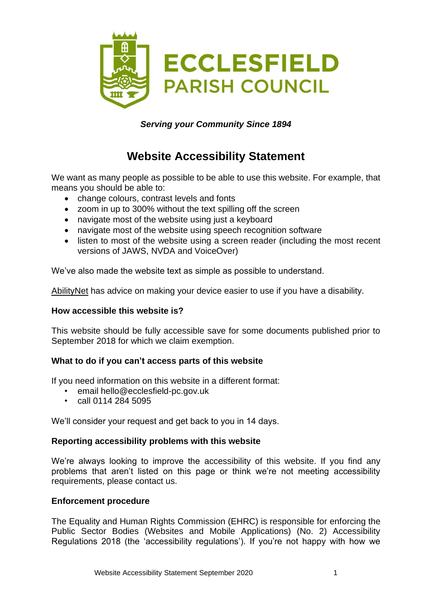

## *Serving your Community Since 1894*

# **Website Accessibility Statement**

We want as many people as possible to be able to use this website. For example, that means you should be able to:

- change colours, contrast levels and fonts
- zoom in up to 300% without the text spilling off the screen
- navigate most of the website using just a keyboard
- navigate most of the website using speech recognition software
- listen to most of the website using a screen reader (including the most recent versions of JAWS, NVDA and VoiceOver)

We've also made the website text as simple as possible to understand.

[AbilityNet](https://mcmw.abilitynet.org.uk/) has advice on making your device easier to use if you have a disability.

### **How accessible this website is?**

This website should be fully accessible save for some documents published prior to September 2018 for which we claim exemption.

### **What to do if you can't access parts of this website**

If you need information on this website in a different format:

- email hello@ecclesfield-pc.gov.uk
- call 0114 284 5095

We'll consider your request and get back to you in 14 days.

### **Reporting accessibility problems with this website**

We're always looking to improve the accessibility of this website. If you find any problems that aren't listed on this page or think we're not meeting accessibility requirements, please contact us.

### **Enforcement procedure**

The Equality and Human Rights Commission (EHRC) is responsible for enforcing the Public Sector Bodies (Websites and Mobile Applications) (No. 2) Accessibility Regulations 2018 (the 'accessibility regulations'). If you're not happy with how we